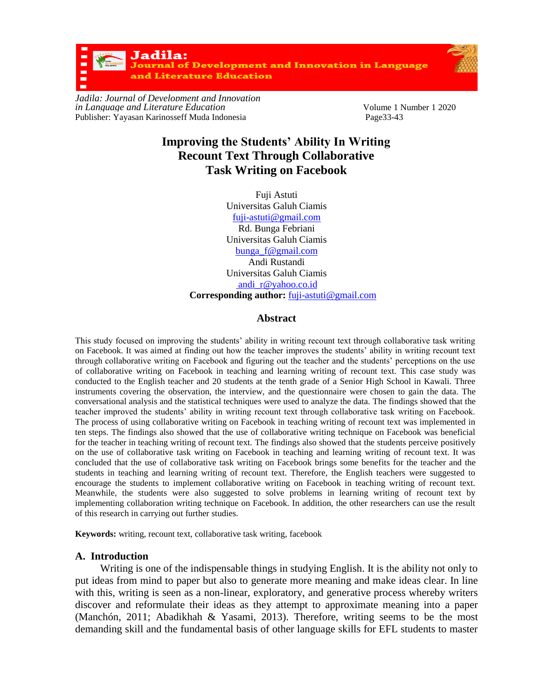Jadila: urnal of Development and Innovation in Language **Literature Education** 

*Jadila: Journal of Development and Innovation in Language and Literature Education*<br>
Publisher: Yayasan Karinosseff Muda Indonesia<br>
Page33-43<br>
Page33-43 Publisher: Yayasan Karinosseff Muda Indonesia

# **Improving the Students' Ability In Writing Recount Text Through Collaborative Task Writing on Facebook**

Fuji Astuti Universitas Galuh Ciamis [fuji-astuti@gmail.com](mailto:fuji-astuti@gmail.com) Rd. Bunga Febriani Universitas Galuh Ciamis [bunga\\_f@gmail.com](mailto:bunga_f@gmail.com) Andi Rustandi Universitas Galuh Ciamis [andi\\_r@yahoo.co.id](mailto:%20andi_r@yahoo.co.id) **Corresponding author:** [fuji-astuti@gmail.com](mailto:fuji-astuti@gmail.com)

#### **Abstract**

This study focused on improving the students' ability in writing recount text through collaborative task writing on Facebook. It was aimed at finding out how the teacher improves the students' ability in writing recount text through collaborative writing on Facebook and figuring out the teacher and the students' perceptions on the use of collaborative writing on Facebook in teaching and learning writing of recount text. This case study was conducted to the English teacher and 20 students at the tenth grade of a Senior High School in Kawali. Three instruments covering the observation, the interview, and the questionnaire were chosen to gain the data. The conversational analysis and the statistical techniques were used to analyze the data. The findings showed that the teacher improved the students' ability in writing recount text through collaborative task writing on Facebook. The process of using collaborative writing on Facebook in teaching writing of recount text was implemented in ten steps. The findings also showed that the use of collaborative writing technique on Facebook was beneficial for the teacher in teaching writing of recount text. The findings also showed that the students perceive positively on the use of collaborative task writing on Facebook in teaching and learning writing of recount text. It was concluded that the use of collaborative task writing on Facebook brings some benefits for the teacher and the students in teaching and learning writing of recount text. Therefore, the English teachers were suggested to encourage the students to implement collaborative writing on Facebook in teaching writing of recount text. Meanwhile, the students were also suggested to solve problems in learning writing of recount text by implementing collaboration writing technique on Facebook. In addition, the other researchers can use the result of this research in carrying out further studies.

**Keywords:** writing, recount text, collaborative task writing, facebook

## **A. Introduction**

Writing is one of the indispensable things in studying English. It is the ability not only to put ideas from mind to paper but also to generate more meaning and make ideas clear. In line with this, writing is seen as a non-linear, exploratory, and generative process whereby writers discover and reformulate their ideas as they attempt to approximate meaning into a paper (Manchón, 2011; Abadikhah & Yasami, 2013). Therefore, writing seems to be the most demanding skill and the fundamental basis of other language skills for EFL students to master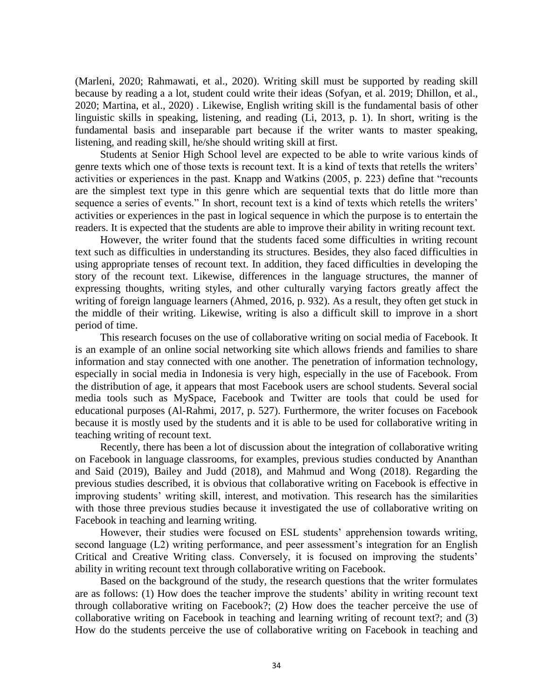(Marleni, 2020; Rahmawati, et al., 2020). Writing skill must be supported by reading skill because by reading a a lot, student could write their ideas (Sofyan, et al. 2019; Dhillon, et al., 2020; Martina, et al., 2020) . Likewise, English writing skill is the fundamental basis of other linguistic skills in speaking, listening, and reading (Li, 2013, p. 1). In short, writing is the fundamental basis and inseparable part because if the writer wants to master speaking, listening, and reading skill, he/she should writing skill at first.

Students at Senior High School level are expected to be able to write various kinds of genre texts which one of those texts is recount text. It is a kind of texts that retells the writers' activities or experiences in the past. Knapp and Watkins (2005, p. 223) define that "recounts are the simplest text type in this genre which are sequential texts that do little more than sequence a series of events." In short, recount text is a kind of texts which retells the writers' activities or experiences in the past in logical sequence in which the purpose is to entertain the readers. It is expected that the students are able to improve their ability in writing recount text.

However, the writer found that the students faced some difficulties in writing recount text such as difficulties in understanding its structures. Besides, they also faced difficulties in using appropriate tenses of recount text. In addition, they faced difficulties in developing the story of the recount text. Likewise, differences in the language structures, the manner of expressing thoughts, writing styles, and other culturally varying factors greatly affect the writing of foreign language learners (Ahmed, 2016, p. 932). As a result, they often get stuck in the middle of their writing. Likewise, writing is also a difficult skill to improve in a short period of time.

This research focuses on the use of collaborative writing on social media of Facebook. It is an example of an online social networking site which allows friends and families to share information and stay connected with one another. The penetration of information technology, especially in social media in Indonesia is very high, especially in the use of Facebook. From the distribution of age, it appears that most Facebook users are school students. Several social media tools such as MySpace, Facebook and Twitter are tools that could be used for educational purposes (Al-Rahmi, 2017, p. 527). Furthermore, the writer focuses on Facebook because it is mostly used by the students and it is able to be used for collaborative writing in teaching writing of recount text.

Recently, there has been a lot of discussion about the integration of collaborative writing on Facebook in language classrooms, for examples, previous studies conducted by Ananthan and Said (2019), Bailey and Judd (2018), and Mahmud and Wong (2018). Regarding the previous studies described, it is obvious that collaborative writing on Facebook is effective in improving students' writing skill, interest, and motivation. This research has the similarities with those three previous studies because it investigated the use of collaborative writing on Facebook in teaching and learning writing.

However, their studies were focused on ESL students' apprehension towards writing, second language (L2) writing performance, and peer assessment's integration for an English Critical and Creative Writing class. Conversely, it is focused on improving the students' ability in writing recount text through collaborative writing on Facebook.

Based on the background of the study, the research questions that the writer formulates are as follows: (1) How does the teacher improve the students' ability in writing recount text through collaborative writing on Facebook?; (2) How does the teacher perceive the use of collaborative writing on Facebook in teaching and learning writing of recount text?; and (3) How do the students perceive the use of collaborative writing on Facebook in teaching and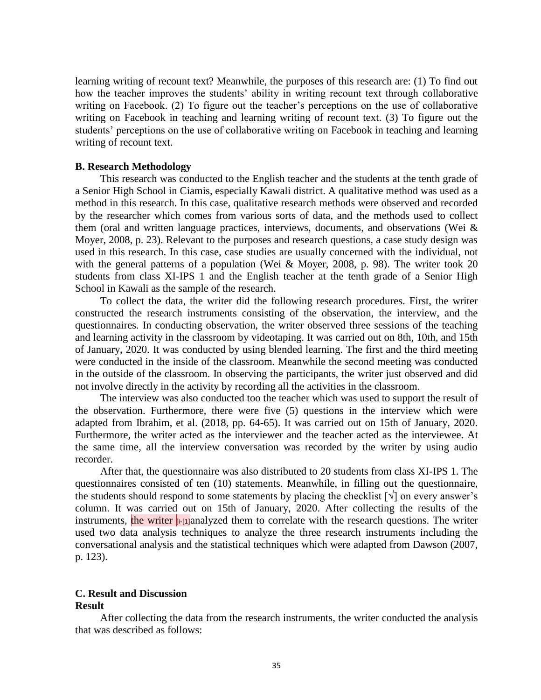learning writing of recount text? Meanwhile, the purposes of this research are: (1) To find out how the teacher improves the students' ability in writing recount text through collaborative writing on Facebook. (2) To figure out the teacher's perceptions on the use of collaborative writing on Facebook in teaching and learning writing of recount text. (3) To figure out the students' perceptions on the use of collaborative writing on Facebook in teaching and learning writing of recount text.

## **B. Research Methodology**

This research was conducted to the English teacher and the students at the tenth grade of a Senior High School in Ciamis, especially Kawali district. A qualitative method was used as a method in this research. In this case, qualitative research methods were observed and recorded by the researcher which comes from various sorts of data, and the methods used to collect them (oral and written language practices, interviews, documents, and observations (Wei & Moyer, 2008, p. 23). Relevant to the purposes and research questions, a case study design was used in this research. In this case, case studies are usually concerned with the individual, not with the general patterns of a population (Wei & Moyer, 2008, p. 98). The writer took 20 students from class XI-IPS 1 and the English teacher at the tenth grade of a Senior High School in Kawali as the sample of the research.

To collect the data, the writer did the following research procedures. First, the writer constructed the research instruments consisting of the observation, the interview, and the questionnaires. In conducting observation, the writer observed three sessions of the teaching and learning activity in the classroom by videotaping. It was carried out on 8th, 10th, and 15th of January, 2020. It was conducted by using blended learning. The first and the third meeting were conducted in the inside of the classroom. Meanwhile the second meeting was conducted in the outside of the classroom. In observing the participants, the writer just observed and did not involve directly in the activity by recording all the activities in the classroom.

The interview was also conducted too the teacher which was used to support the result of the observation. Furthermore, there were five (5) questions in the interview which were adapted from Ibrahim, et al. (2018, pp. 64-65). It was carried out on 15th of January, 2020. Furthermore, the writer acted as the interviewer and the teacher acted as the interviewee. At the same time, all the interview conversation was recorded by the writer by using audio recorder.

After that, the questionnaire was also distributed to 20 students from class XI-IPS 1. The questionnaires consisted of ten (10) statements. Meanwhile, in filling out the questionnaire, the students should respond to some statements by placing the checklist  $[\sqrt{\ }]$  on every answer's column. It was carried out on 15th of January, 2020. After collecting the results of the instruments, the writer  $\left| i$ -[1]analyzed them to correlate with the research questions. The writer used two data analysis techniques to analyze the three research instruments including the conversational analysis and the statistical techniques which were adapted from Dawson (2007, p. 123).

## **C. Result and Discussion Result**

After collecting the data from the research instruments, the writer conducted the analysis that was described as follows: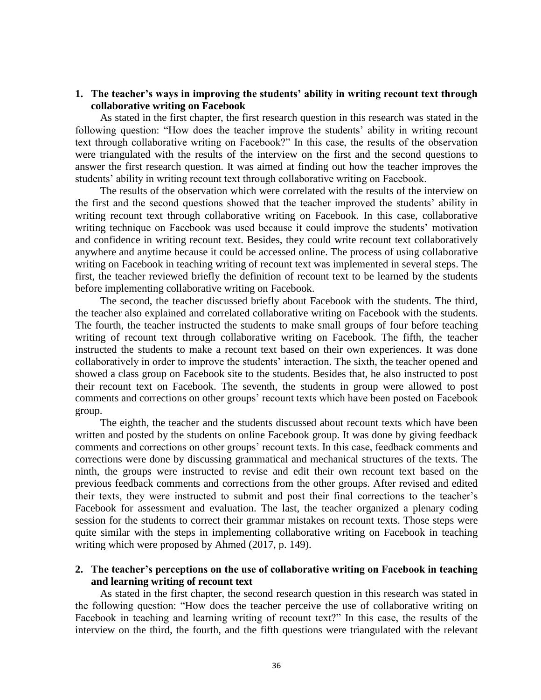## **1. The teacher's ways in improving the students' ability in writing recount text through collaborative writing on Facebook**

As stated in the first chapter, the first research question in this research was stated in the following question: "How does the teacher improve the students' ability in writing recount text through collaborative writing on Facebook?" In this case, the results of the observation were triangulated with the results of the interview on the first and the second questions to answer the first research question. It was aimed at finding out how the teacher improves the students' ability in writing recount text through collaborative writing on Facebook.

The results of the observation which were correlated with the results of the interview on the first and the second questions showed that the teacher improved the students' ability in writing recount text through collaborative writing on Facebook. In this case, collaborative writing technique on Facebook was used because it could improve the students' motivation and confidence in writing recount text. Besides, they could write recount text collaboratively anywhere and anytime because it could be accessed online. The process of using collaborative writing on Facebook in teaching writing of recount text was implemented in several steps. The first, the teacher reviewed briefly the definition of recount text to be learned by the students before implementing collaborative writing on Facebook.

The second, the teacher discussed briefly about Facebook with the students. The third, the teacher also explained and correlated collaborative writing on Facebook with the students. The fourth, the teacher instructed the students to make small groups of four before teaching writing of recount text through collaborative writing on Facebook. The fifth, the teacher instructed the students to make a recount text based on their own experiences. It was done collaboratively in order to improve the students' interaction. The sixth, the teacher opened and showed a class group on Facebook site to the students. Besides that, he also instructed to post their recount text on Facebook. The seventh, the students in group were allowed to post comments and corrections on other groups' recount texts which have been posted on Facebook group.

The eighth, the teacher and the students discussed about recount texts which have been written and posted by the students on online Facebook group. It was done by giving feedback comments and corrections on other groups' recount texts. In this case, feedback comments and corrections were done by discussing grammatical and mechanical structures of the texts. The ninth, the groups were instructed to revise and edit their own recount text based on the previous feedback comments and corrections from the other groups. After revised and edited their texts, they were instructed to submit and post their final corrections to the teacher's Facebook for assessment and evaluation. The last, the teacher organized a plenary coding session for the students to correct their grammar mistakes on recount texts. Those steps were quite similar with the steps in implementing collaborative writing on Facebook in teaching writing which were proposed by Ahmed (2017, p. 149).

## **2. The teacher's perceptions on the use of collaborative writing on Facebook in teaching and learning writing of recount text**

As stated in the first chapter, the second research question in this research was stated in the following question: "How does the teacher perceive the use of collaborative writing on Facebook in teaching and learning writing of recount text?" In this case, the results of the interview on the third, the fourth, and the fifth questions were triangulated with the relevant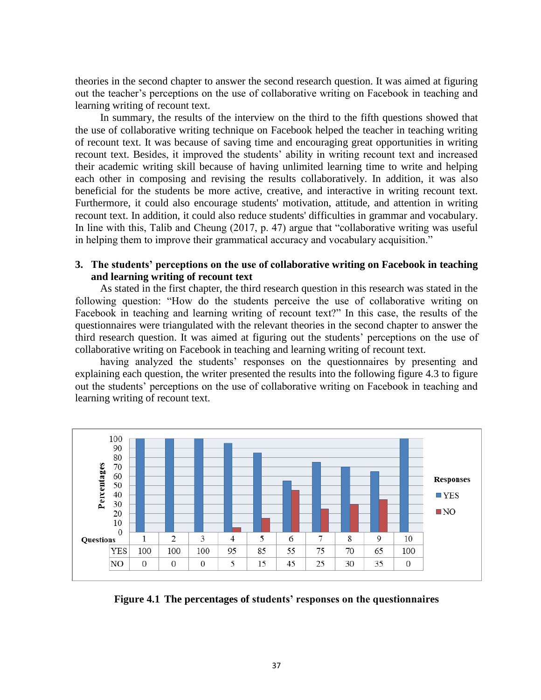theories in the second chapter to answer the second research question. It was aimed at figuring out the teacher's perceptions on the use of collaborative writing on Facebook in teaching and learning writing of recount text.

In summary, the results of the interview on the third to the fifth questions showed that the use of collaborative writing technique on Facebook helped the teacher in teaching writing of recount text. It was because of saving time and encouraging great opportunities in writing recount text. Besides, it improved the students' ability in writing recount text and increased their academic writing skill because of having unlimited learning time to write and helping each other in composing and revising the results collaboratively. In addition, it was also beneficial for the students be more active, creative, and interactive in writing recount text. Furthermore, it could also encourage students' motivation, attitude, and attention in writing recount text. In addition, it could also reduce students' difficulties in grammar and vocabulary. In line with this, Talib and Cheung (2017, p. 47) argue that "collaborative writing was useful in helping them to improve their grammatical accuracy and vocabulary acquisition."

# **3. The students' perceptions on the use of collaborative writing on Facebook in teaching and learning writing of recount text**

As stated in the first chapter, the third research question in this research was stated in the following question: "How do the students perceive the use of collaborative writing on Facebook in teaching and learning writing of recount text?" In this case, the results of the questionnaires were triangulated with the relevant theories in the second chapter to answer the third research question. It was aimed at figuring out the students' perceptions on the use of collaborative writing on Facebook in teaching and learning writing of recount text.

having analyzed the students' responses on the questionnaires by presenting and explaining each question, the writer presented the results into the following figure 4.3 to figure out the students' perceptions on the use of collaborative writing on Facebook in teaching and learning writing of recount text.



**Figure 4.1 The percentages of students' responses on the questionnaires**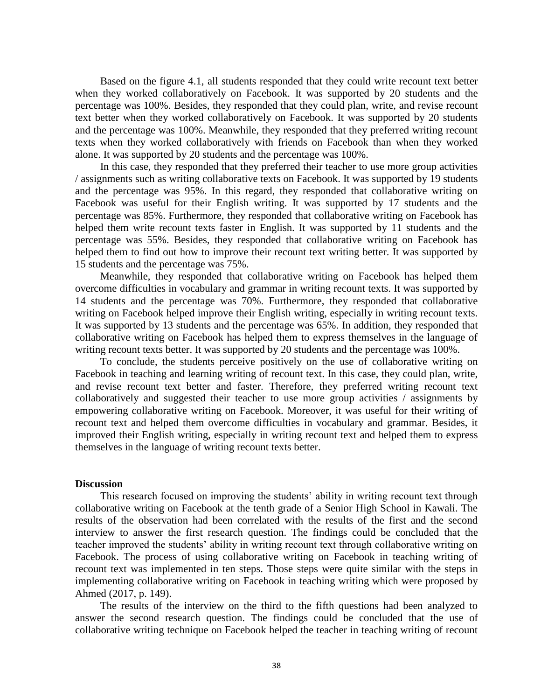Based on the figure 4.1, all students responded that they could write recount text better when they worked collaboratively on Facebook. It was supported by 20 students and the percentage was 100%. Besides, they responded that they could plan, write, and revise recount text better when they worked collaboratively on Facebook. It was supported by 20 students and the percentage was 100%. Meanwhile, they responded that they preferred writing recount texts when they worked collaboratively with friends on Facebook than when they worked alone. It was supported by 20 students and the percentage was 100%.

In this case, they responded that they preferred their teacher to use more group activities / assignments such as writing collaborative texts on Facebook. It was supported by 19 students and the percentage was 95%. In this regard, they responded that collaborative writing on Facebook was useful for their English writing. It was supported by 17 students and the percentage was 85%. Furthermore, they responded that collaborative writing on Facebook has helped them write recount texts faster in English. It was supported by 11 students and the percentage was 55%. Besides, they responded that collaborative writing on Facebook has helped them to find out how to improve their recount text writing better. It was supported by 15 students and the percentage was 75%.

Meanwhile, they responded that collaborative writing on Facebook has helped them overcome difficulties in vocabulary and grammar in writing recount texts. It was supported by 14 students and the percentage was 70%. Furthermore, they responded that collaborative writing on Facebook helped improve their English writing, especially in writing recount texts. It was supported by 13 students and the percentage was 65%. In addition, they responded that collaborative writing on Facebook has helped them to express themselves in the language of writing recount texts better. It was supported by 20 students and the percentage was 100%.

To conclude, the students perceive positively on the use of collaborative writing on Facebook in teaching and learning writing of recount text. In this case, they could plan, write, and revise recount text better and faster. Therefore, they preferred writing recount text collaboratively and suggested their teacher to use more group activities / assignments by empowering collaborative writing on Facebook. Moreover, it was useful for their writing of recount text and helped them overcome difficulties in vocabulary and grammar. Besides, it improved their English writing, especially in writing recount text and helped them to express themselves in the language of writing recount texts better.

#### **Discussion**

This research focused on improving the students' ability in writing recount text through collaborative writing on Facebook at the tenth grade of a Senior High School in Kawali. The results of the observation had been correlated with the results of the first and the second interview to answer the first research question. The findings could be concluded that the teacher improved the students' ability in writing recount text through collaborative writing on Facebook. The process of using collaborative writing on Facebook in teaching writing of recount text was implemented in ten steps. Those steps were quite similar with the steps in implementing collaborative writing on Facebook in teaching writing which were proposed by Ahmed (2017, p. 149).

The results of the interview on the third to the fifth questions had been analyzed to answer the second research question. The findings could be concluded that the use of collaborative writing technique on Facebook helped the teacher in teaching writing of recount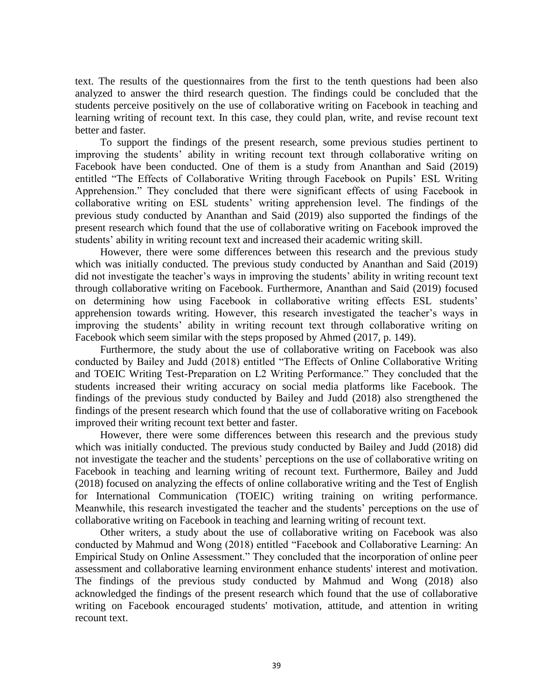text. The results of the questionnaires from the first to the tenth questions had been also analyzed to answer the third research question. The findings could be concluded that the students perceive positively on the use of collaborative writing on Facebook in teaching and learning writing of recount text. In this case, they could plan, write, and revise recount text better and faster.

To support the findings of the present research, some previous studies pertinent to improving the students' ability in writing recount text through collaborative writing on Facebook have been conducted. One of them is a study from Ananthan and Said (2019) entitled "The Effects of Collaborative Writing through Facebook on Pupils' ESL Writing Apprehension." They concluded that there were significant effects of using Facebook in collaborative writing on ESL students' writing apprehension level. The findings of the previous study conducted by Ananthan and Said (2019) also supported the findings of the present research which found that the use of collaborative writing on Facebook improved the students' ability in writing recount text and increased their academic writing skill.

However, there were some differences between this research and the previous study which was initially conducted. The previous study conducted by Ananthan and Said (2019) did not investigate the teacher's ways in improving the students' ability in writing recount text through collaborative writing on Facebook. Furthermore, Ananthan and Said (2019) focused on determining how using Facebook in collaborative writing effects ESL students' apprehension towards writing. However, this research investigated the teacher's ways in improving the students' ability in writing recount text through collaborative writing on Facebook which seem similar with the steps proposed by Ahmed (2017, p. 149).

Furthermore, the study about the use of collaborative writing on Facebook was also conducted by Bailey and Judd (2018) entitled "The Effects of Online Collaborative Writing and TOEIC Writing Test-Preparation on L2 Writing Performance." They concluded that the students increased their writing accuracy on social media platforms like Facebook. The findings of the previous study conducted by Bailey and Judd (2018) also strengthened the findings of the present research which found that the use of collaborative writing on Facebook improved their writing recount text better and faster.

However, there were some differences between this research and the previous study which was initially conducted. The previous study conducted by Bailey and Judd (2018) did not investigate the teacher and the students' perceptions on the use of collaborative writing on Facebook in teaching and learning writing of recount text. Furthermore, Bailey and Judd (2018) focused on analyzing the effects of online collaborative writing and the Test of English for International Communication (TOEIC) writing training on writing performance. Meanwhile, this research investigated the teacher and the students' perceptions on the use of collaborative writing on Facebook in teaching and learning writing of recount text.

Other writers, a study about the use of collaborative writing on Facebook was also conducted by Mahmud and Wong (2018) entitled "Facebook and Collaborative Learning: An Empirical Study on Online Assessment." They concluded that the incorporation of online peer assessment and collaborative learning environment enhance students' interest and motivation. The findings of the previous study conducted by Mahmud and Wong (2018) also acknowledged the findings of the present research which found that the use of collaborative writing on Facebook encouraged students' motivation, attitude, and attention in writing recount text.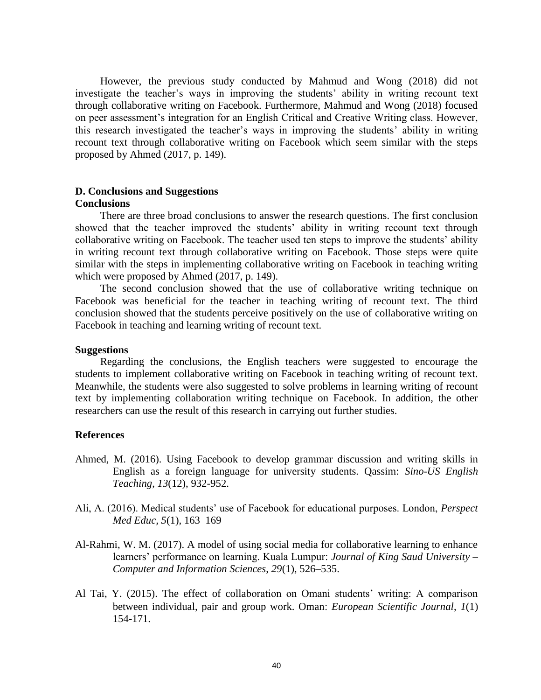However, the previous study conducted by Mahmud and Wong (2018) did not investigate the teacher's ways in improving the students' ability in writing recount text through collaborative writing on Facebook. Furthermore, Mahmud and Wong (2018) focused on peer assessment's integration for an English Critical and Creative Writing class. However, this research investigated the teacher's ways in improving the students' ability in writing recount text through collaborative writing on Facebook which seem similar with the steps proposed by Ahmed (2017, p. 149).

## **D. Conclusions and Suggestions Conclusions**

There are three broad conclusions to answer the research questions. The first conclusion showed that the teacher improved the students' ability in writing recount text through collaborative writing on Facebook. The teacher used ten steps to improve the students' ability in writing recount text through collaborative writing on Facebook. Those steps were quite similar with the steps in implementing collaborative writing on Facebook in teaching writing which were proposed by Ahmed (2017, p. 149).

The second conclusion showed that the use of collaborative writing technique on Facebook was beneficial for the teacher in teaching writing of recount text. The third conclusion showed that the students perceive positively on the use of collaborative writing on Facebook in teaching and learning writing of recount text.

### **Suggestions**

Regarding the conclusions, the English teachers were suggested to encourage the students to implement collaborative writing on Facebook in teaching writing of recount text. Meanwhile, the students were also suggested to solve problems in learning writing of recount text by implementing collaboration writing technique on Facebook. In addition, the other researchers can use the result of this research in carrying out further studies.

## **References**

- Ahmed, M. (2016). Using Facebook to develop grammar discussion and writing skills in English as a foreign language for university students. Qassim: *Sino-US English Teaching*, *13*(12), 932-952.
- Ali, A. (2016). Medical students' use of Facebook for educational purposes. London, *Perspect Med Educ, 5*(1), 163–169
- Al-Rahmi, W. M. (2017). A model of using social media for collaborative learning to enhance learners' performance on learning. Kuala Lumpur: *Journal of King Saud University – Computer and Information Sciences*, *29*(1), 526–535.
- Al Tai, Y. (2015). The effect of collaboration on Omani students' writing: A comparison between individual, pair and group work. Oman: *European Scientific Journal*,  $I(1)$ 154-171.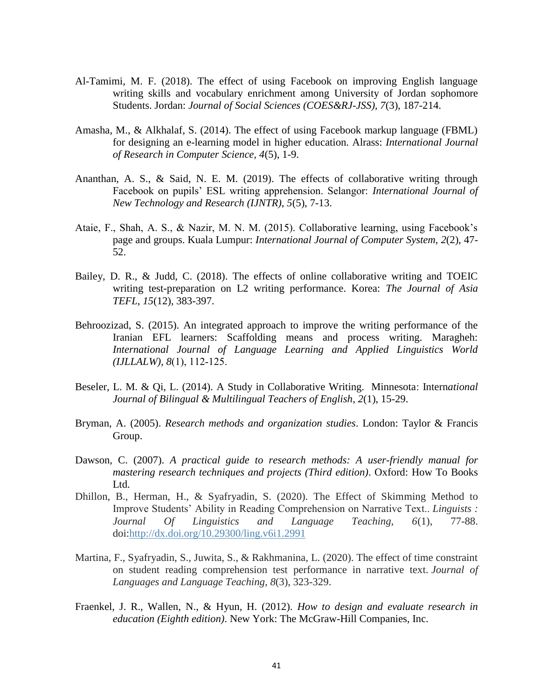- Al-Tamimi, M. F. (2018). The effect of using Facebook on improving English language writing skills and vocabulary enrichment among University of Jordan sophomore Students. Jordan: *Journal of Social Sciences (COES&RJ-JSS), 7*(3), 187-214.
- Amasha, M., & Alkhalaf, S. (2014). The effect of using Facebook markup language (FBML) for designing an e-learning model in higher education. Alrass: *International Journal of Research in Computer Science, 4*(5), 1-9.
- Ananthan, A. S., & Said, N. E. M. (2019). The effects of collaborative writing through Facebook on pupils' ESL writing apprehension. Selangor: *International Journal of New Technology and Research (IJNTR)*, *5*(5), 7-13.
- Ataie, F., Shah, A. S., & Nazir, M. N. M. (2015). Collaborative learning, using Facebook's page and groups. Kuala Lumpur: *International Journal of Computer System, 2*(2), 47- 52.
- Bailey, D. R., & Judd, C. (2018). The effects of online collaborative writing and TOEIC writing test-preparation on L2 writing performance. Korea: *The Journal of Asia TEFL*, *15*(12), 383-397.
- Behroozizad, S. (2015). An integrated approach to improve the writing performance of the Iranian EFL learners: Scaffolding means and process writing. Maragheh: *International Journal of Language Learning and Applied Linguistics World (IJLLALW), 8*(1), 112‐125.
- Beseler, L. M. & Qi, L. (2014). A Study in Collaborative Writing. Minnesota: International *Journal of Bilingual & Multilingual Teachers of English*, *2*(1), 15-29.
- Bryman, A. (2005). *Research methods and organization studies*. London: Taylor & Francis Group.
- Dawson, C. (2007). *A practical guide to research methods: A user-friendly manual for mastering research techniques and projects (Third edition)*. Oxford: How To Books Ltd.
- Dhillon, B., Herman, H., & Syafryadin, S. (2020). The Effect of Skimming Method to Improve Students' Ability in Reading Comprehension on Narrative Text.. *Linguists : Journal Of Linguistics and Language Teaching, 6*(1), 77-88. doi[:http://dx.doi.org/10.29300/ling.v6i1.2991](http://dx.doi.org/10.29300/ling.v6i1.2991)
- Martina, F., Syafryadin, S., Juwita, S., & Rakhmanina, L. (2020). The effect of time constraint on student reading comprehension test performance in narrative text. *Journal of Languages and Language Teaching*, *8*(3), 323-329.
- Fraenkel, J. R., Wallen, N., & Hyun, H. (2012). *How to design and evaluate research in education (Eighth edition)*. New York: The McGraw-Hill Companies, Inc.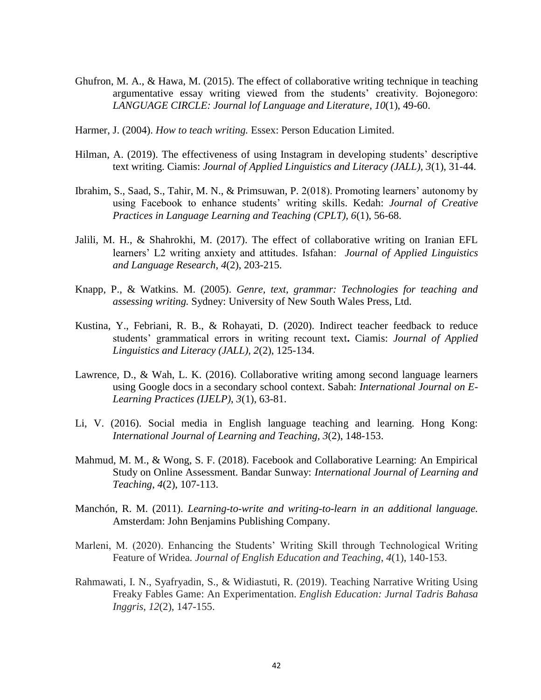- Ghufron, M. A., & Hawa, M. (2015). The effect of collaborative writing technique in teaching argumentative essay writing viewed from the students' creativity. Bojonegoro: *LANGUAGE CIRCLE: Journal lof Language and Literature*, *10*(1), 49-60.
- Harmer, J. (2004). *How to teach writing.* Essex: Person Education Limited.
- Hilman, A. (2019). The effectiveness of using Instagram in developing students' descriptive text writing. Ciamis: *Journal of Applied Linguistics and Literacy (JALL), 3*(1), 31-44.
- Ibrahim, S., Saad, S., Tahir, M. N., & Primsuwan, P. 2(018). Promoting learners' autonomy by using Facebook to enhance students' writing skills. Kedah: *Journal of Creative Practices in Language Learning and Teaching (CPLT), 6*(1), 56-68.
- Jalili, M. H., & Shahrokhi, M. (2017). The effect of collaborative writing on Iranian EFL learners' L2 writing anxiety and attitudes. Isfahan: *Journal of Applied Linguistics and Language Research*, *4*(2), 203-215.
- Knapp, P., & Watkins. M. (2005). *Genre, text, grammar: Technologies for teaching and assessing writing.* Sydney: University of New South Wales Press, Ltd.
- Kustina, Y., Febriani, R. B., & Rohayati, D. (2020). Indirect teacher feedback to reduce students' grammatical errors in writing recount text**.** Ciamis: *Journal of Applied Linguistics and Literacy (JALL), 2*(2), 125-134.
- Lawrence, D., & Wah, L. K. (2016). Collaborative writing among second language learners using Google docs in a secondary school context. Sabah: *International Journal on E-Learning Practices (IJELP)*, *3*(1), 63-81.
- Li, V. (2016). Social media in English language teaching and learning. Hong Kong: *International Journal of Learning and Teaching, 3*(2), 148-153.
- Mahmud, M. M., & Wong, S. F. (2018). Facebook and Collaborative Learning: An Empirical Study on Online Assessment. Bandar Sunway: *International Journal of Learning and Teaching*, *4*(2), 107-113.
- Manchón, R. M. (2011). *Learning-to-write and writing-to-learn in an additional language.* Amsterdam: John Benjamins Publishing Company.
- Marleni, M. (2020). Enhancing the Students' Writing Skill through Technological Writing Feature of Wridea. *Journal of English Education and Teaching*, *4*(1), 140-153.
- Rahmawati, I. N., Syafryadin, S., & Widiastuti, R. (2019). Teaching Narrative Writing Using Freaky Fables Game: An Experimentation. *English Education: Jurnal Tadris Bahasa Inggris*, *12*(2), 147-155.